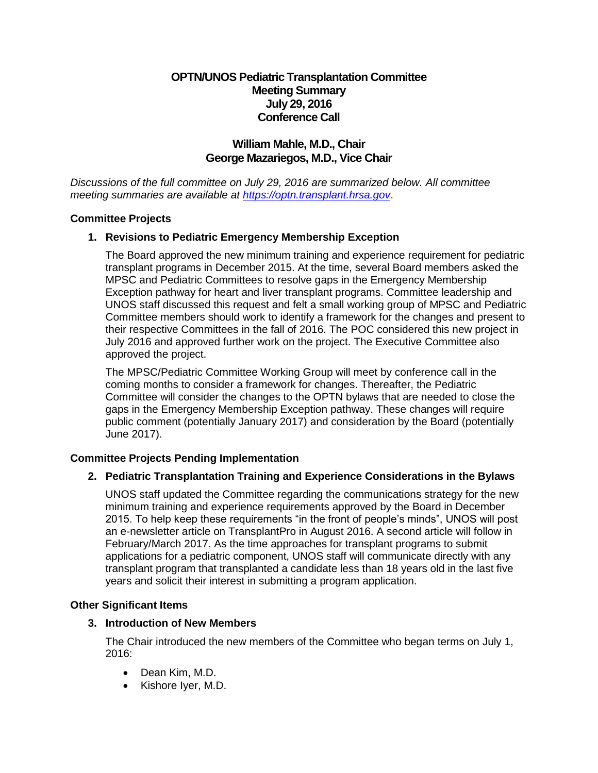# **OPTN/UNOS Pediatric Transplantation Committee Meeting Summary July 29, 2016 Conference Call**

# **William Mahle, M.D., Chair George Mazariegos, M.D., Vice Chair**

*Discussions of the full committee on July 29, 2016 are summarized below. All committee meeting summaries are available at [https://optn.transplant.hrsa.gov](https://optn.transplant.hrsa.gov/)*.

### **Committee Projects**

## **1. Revisions to Pediatric Emergency Membership Exception**

The Board approved the new minimum training and experience requirement for pediatric transplant programs in December 2015. At the time, several Board members asked the MPSC and Pediatric Committees to resolve gaps in the Emergency Membership Exception pathway for heart and liver transplant programs. Committee leadership and UNOS staff discussed this request and felt a small working group of MPSC and Pediatric Committee members should work to identify a framework for the changes and present to their respective Committees in the fall of 2016. The POC considered this new project in July 2016 and approved further work on the project. The Executive Committee also approved the project.

The MPSC/Pediatric Committee Working Group will meet by conference call in the coming months to consider a framework for changes. Thereafter, the Pediatric Committee will consider the changes to the OPTN bylaws that are needed to close the gaps in the Emergency Membership Exception pathway. These changes will require public comment (potentially January 2017) and consideration by the Board (potentially June 2017).

## **Committee Projects Pending Implementation**

## **2. Pediatric Transplantation Training and Experience Considerations in the Bylaws**

UNOS staff updated the Committee regarding the communications strategy for the new minimum training and experience requirements approved by the Board in December 2015. To help keep these requirements "in the front of people's minds", UNOS will post an e-newsletter article on TransplantPro in August 2016. A second article will follow in February/March 2017. As the time approaches for transplant programs to submit applications for a pediatric component, UNOS staff will communicate directly with any transplant program that transplanted a candidate less than 18 years old in the last five years and solicit their interest in submitting a program application.

#### **Other Significant Items**

#### **3. Introduction of New Members**

The Chair introduced the new members of the Committee who began terms on July 1, 2016:

- Dean Kim, M.D.
- Kishore Iyer, M.D.